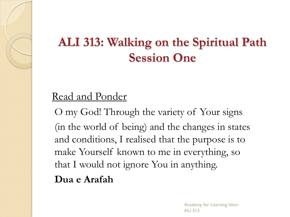### **ALI 313: Walking on the Spiritual Path Session One**

#### Read and Ponder

O my God! Through the variety of Your signs (in the world of being) and the changes in states and conditions, I realised that the purpose is to make Yourself known to me in everything, so that I would not ignore You in anything. **Dua e Arafah**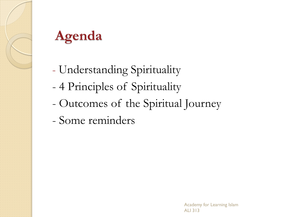

## **Agenda**

- Understanding Spirituality
- 4 Principles of Spirituality
- Outcomes of the Spiritual Journey
- Some reminders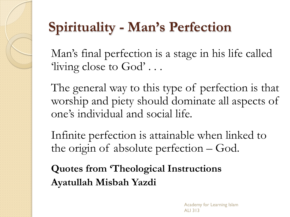## **Spirituality - Man's Perfection**

Man's final perfection is a stage in his life called 'living close to God' . . .

The general way to this type of perfection is that worship and piety should dominate all aspects of one's individual and social life.

Infinite perfection is attainable when linked to the origin of absolute perfection – God.

**Quotes from 'Theological Instructions Ayatullah Misbah Yazdi**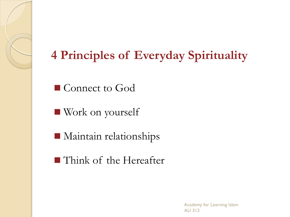#### **4 Principles of Everyday Spirituality**

■ Connect to God

Work on yourself

**Maintain relationships** 

**Think of the Hereafter**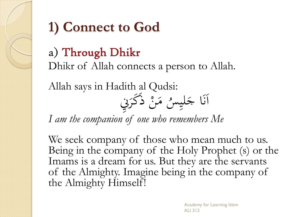

# **1) Connect to God**

### a) Through Dhikr

Dhikr of Allah connects a person to Allah.

Allah says in Hadith al Qudsi:



*I am the companion of one who remembers Me*

We seek company of those who mean much to us. Being in the company of the Holy Prophet (s) or the Imams is a dream for us. But they are the servants of the Almighty. Imagine being in the company of the Almighty Himself!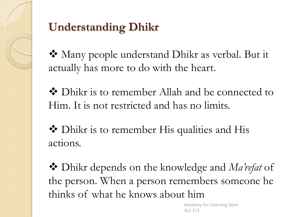

### **Understanding Dhikr**

 Many people understand Dhikr as verbal. But it actually has more to do with the heart.

 Dhikr is to remember Allah and be connected to Him. It is not restricted and has no limits.

◆ Dhikr is to remember His qualities and His actions.

 Dhikr depends on the knowledge and *Ma'refat* of the person. When a person remembers someone he thinks of what he knows about him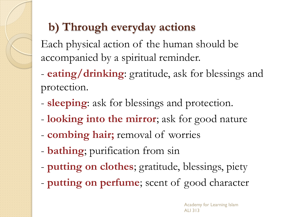### **b) Through everyday actions**

Each physical action of the human should be accompanied by a spiritual reminder.

- **eating/drinking**: gratitude, ask for blessings and protection.
- **sleeping**: ask for blessings and protection.
- **looking into the mirror**; ask for good nature
- **combing hair;** removal of worries
- **bathing**; purification from sin
- **putting on clothes**; gratitude, blessings, piety
- **putting on perfume**; scent of good character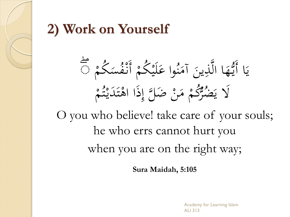### **2) Work on Yourself**

 كم س ف ن أ كم ي ل وا ع ن آم ين ذ َّ ا ال ه ُّ ي ا أ ۖ ي م ت ي د ت ا اه ذ ض َّل إ ن م ُّ كم ضر َل ي 

O you who believe! take care of your souls; he who errs cannot hurt you when you are on the right way;

**Sura Maidah, 5:105**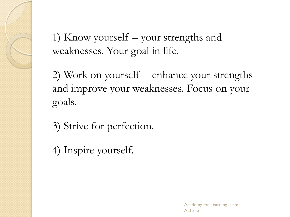1) Know yourself – your strengths and weaknesses. Your goal in life.

2) Work on yourself – enhance your strengths and improve your weaknesses. Focus on your goals.

3) Strive for perfection.

4) Inspire yourself.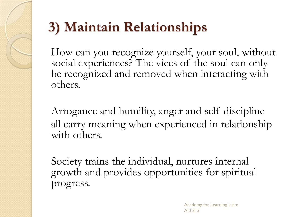# **3) Maintain Relationships**

How can you recognize yourself, your soul, without social experiences? The vices of the soul can only be recognized and removed when interacting with others.

Arrogance and humility, anger and self discipline all carry meaning when experienced in relationship with others.

Society trains the individual, nurtures internal growth and provides opportunities for spiritual progress.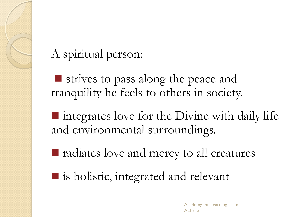#### A spiritual person:

strives to pass along the peace and tranquility he feels to others in society.

■ integrates love for the Divine with daily life and environmental surroundings.

**F** radiates love and mercy to all creatures

■ is holistic, integrated and relevant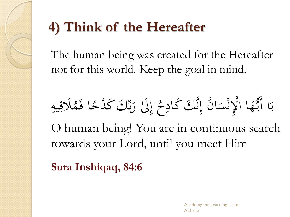# **4) Think of the Hereafter**

The human being was created for the Hereafter not for this world. Keep the goal in mind.

 يه َلق م ا ف ً دح ِّ ك ك ب ر َلٰ إ ٌ ح ك كاد َّ ن ن إ ا س ن ْل ا ا ه ُّ ي ا أ ي

O human being! You are in continuous search towards your Lord, until you meet Him

**Sura Inshiqaq, 84:6**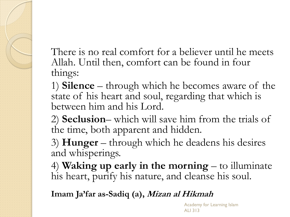There is no real comfort for a believer until he meets Allah. Until then, comfort can be found in four things:

1) **Silence** – through which he becomes aware of the state of his heart and soul, regarding that which is between him and his Lord.

2) **Seclusion**– which will save him from the trials of the time, both apparent and hidden.

3) **Hunger** – through which he deadens his desires and whisperings.

4) **Waking up early in the morning** – to illuminate his heart, purify his nature, and cleanse his soul.

**Imam Ja'far as-Sadiq (a), Mizan al Hikmah**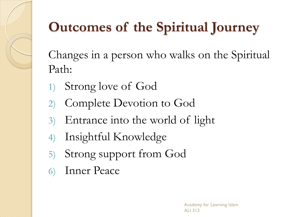

# **Outcomes of the Spiritual Journey**

Changes in a person who walks on the Spiritual Path:

- 1) Strong love of God
- 2) Complete Devotion to God
- 3) Entrance into the world of light
- 4) Insightful Knowledge
- 5) Strong support from God
- 6) Inner Peace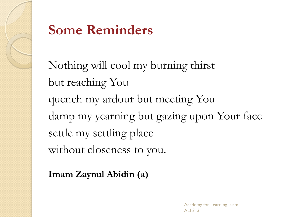

### **Some Reminders**

Nothing will cool my burning thirst but reaching You quench my ardour but meeting You damp my yearning but gazing upon Your face settle my settling place without closeness to you.

**Imam Zaynul Abidin (a)**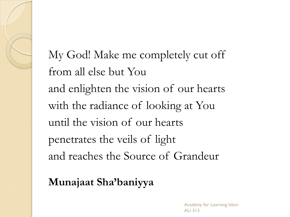My God! Make me completely cut off from all else but You and enlighten the vision of our hearts with the radiance of looking at You until the vision of our hearts penetrates the veils of light and reaches the Source of Grandeur

**Munajaat Sha'baniyya**